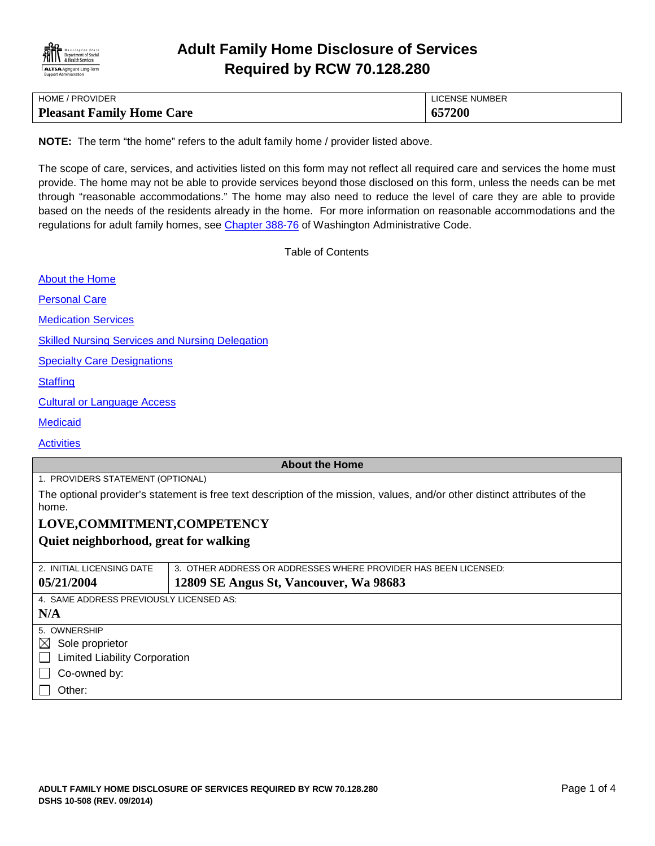

# **Adult Family Home Disclosure of Services Required by RCW 70.128.280**

| <b>HOME / PROVIDER</b>           | LICENSE NUMBER |
|----------------------------------|----------------|
| <b>Pleasant Family Home Care</b> | 657200         |

**NOTE:** The term "the home" refers to the adult family home / provider listed above.

The scope of care, services, and activities listed on this form may not reflect all required care and services the home must provide. The home may not be able to provide services beyond those disclosed on this form, unless the needs can be met through "reasonable accommodations." The home may also need to reduce the level of care they are able to provide based on the needs of the residents already in the home. For more information on reasonable accommodations and the regulations for adult family homes, see [Chapter 388-76](http://apps.leg.wa.gov/WAC/default.aspx?cite=388-76) of Washington Administrative Code.

<span id="page-0-0"></span>Table of Contents

| <b>Skilled Nursing Services and Nursing Delegation</b><br><b>Specialty Care Designations</b><br><b>Cultural or Language Access</b><br><b>About the Home</b><br>1. PROVIDERS STATEMENT (OPTIONAL)<br>LOVE, COMMITMENT, COMPETENCY<br>2. INITIAL LICENSING DATE<br>3. OTHER ADDRESS OR ADDRESSES WHERE PROVIDER HAS BEEN LICENSED:<br>12809 SE Angus St, Vancouver, Wa 98683<br>4. SAME ADDRESS PREVIOUSLY LICENSED AS:<br><b>Limited Liability Corporation</b><br>Co-owned by: | <b>About the Home</b>                                                                                                               |  |  |
|-------------------------------------------------------------------------------------------------------------------------------------------------------------------------------------------------------------------------------------------------------------------------------------------------------------------------------------------------------------------------------------------------------------------------------------------------------------------------------|-------------------------------------------------------------------------------------------------------------------------------------|--|--|
|                                                                                                                                                                                                                                                                                                                                                                                                                                                                               | <b>Personal Care</b>                                                                                                                |  |  |
|                                                                                                                                                                                                                                                                                                                                                                                                                                                                               | <b>Medication Services</b>                                                                                                          |  |  |
|                                                                                                                                                                                                                                                                                                                                                                                                                                                                               |                                                                                                                                     |  |  |
|                                                                                                                                                                                                                                                                                                                                                                                                                                                                               |                                                                                                                                     |  |  |
|                                                                                                                                                                                                                                                                                                                                                                                                                                                                               | <b>Staffing</b>                                                                                                                     |  |  |
|                                                                                                                                                                                                                                                                                                                                                                                                                                                                               |                                                                                                                                     |  |  |
|                                                                                                                                                                                                                                                                                                                                                                                                                                                                               | <b>Medicaid</b>                                                                                                                     |  |  |
|                                                                                                                                                                                                                                                                                                                                                                                                                                                                               | <b>Activities</b>                                                                                                                   |  |  |
|                                                                                                                                                                                                                                                                                                                                                                                                                                                                               |                                                                                                                                     |  |  |
|                                                                                                                                                                                                                                                                                                                                                                                                                                                                               |                                                                                                                                     |  |  |
|                                                                                                                                                                                                                                                                                                                                                                                                                                                                               | The optional provider's statement is free text description of the mission, values, and/or other distinct attributes of the<br>home. |  |  |
|                                                                                                                                                                                                                                                                                                                                                                                                                                                                               |                                                                                                                                     |  |  |
|                                                                                                                                                                                                                                                                                                                                                                                                                                                                               | Quiet neighborhood, great for walking                                                                                               |  |  |
|                                                                                                                                                                                                                                                                                                                                                                                                                                                                               |                                                                                                                                     |  |  |
|                                                                                                                                                                                                                                                                                                                                                                                                                                                                               | 05/21/2004                                                                                                                          |  |  |
|                                                                                                                                                                                                                                                                                                                                                                                                                                                                               |                                                                                                                                     |  |  |
|                                                                                                                                                                                                                                                                                                                                                                                                                                                                               | N/A                                                                                                                                 |  |  |
|                                                                                                                                                                                                                                                                                                                                                                                                                                                                               | 5. OWNERSHIP                                                                                                                        |  |  |
|                                                                                                                                                                                                                                                                                                                                                                                                                                                                               | $\boxtimes$ Sole proprietor                                                                                                         |  |  |
|                                                                                                                                                                                                                                                                                                                                                                                                                                                                               | $\Box$                                                                                                                              |  |  |
|                                                                                                                                                                                                                                                                                                                                                                                                                                                                               |                                                                                                                                     |  |  |
| Other:                                                                                                                                                                                                                                                                                                                                                                                                                                                                        |                                                                                                                                     |  |  |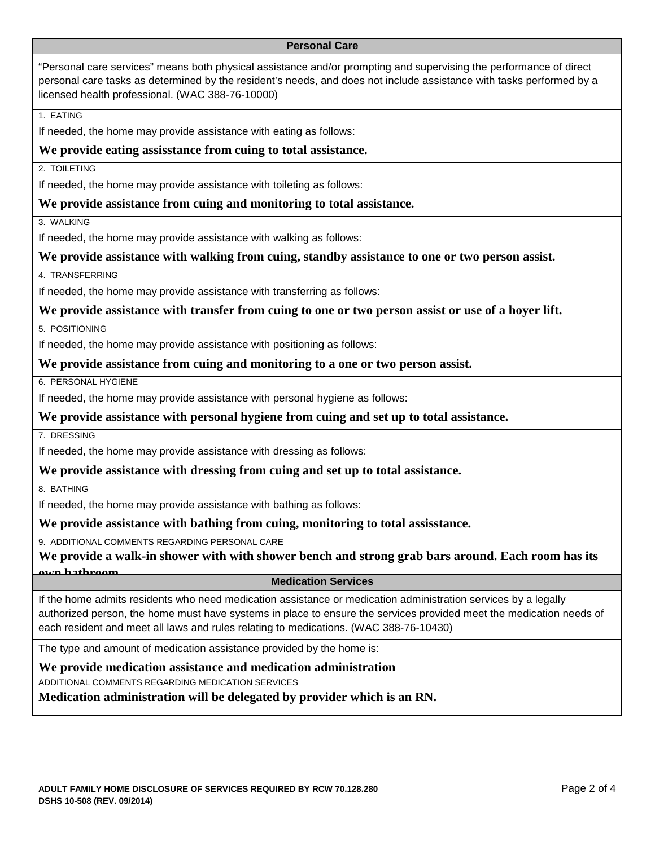### <span id="page-1-0"></span>**Personal Care**

"Personal care services" means both physical assistance and/or prompting and supervising the performance of direct personal care tasks as determined by the resident's needs, and does not include assistance with tasks performed by a licensed health professional. (WAC 388-76-10000)

### 1. EATING

If needed, the home may provide assistance with eating as follows:

### **We provide eating assisstance from cuing to total assistance.**

2. TOILETING

If needed, the home may provide assistance with toileting as follows:

### **We provide assistance from cuing and monitoring to total assistance.**

3. WALKING

If needed, the home may provide assistance with walking as follows:

### **We provide assistance with walking from cuing, standby assistance to one or two person assist.**

4. TRANSFERRING

If needed, the home may provide assistance with transferring as follows:

### **We provide assistance with transfer from cuing to one or two person assist or use of a hoyer lift.**

5. POSITIONING

If needed, the home may provide assistance with positioning as follows:

### **We provide assistance from cuing and monitoring to a one or two person assist.**

6. PERSONAL HYGIENE

If needed, the home may provide assistance with personal hygiene as follows:

### **We provide assistance with personal hygiene from cuing and set up to total assistance.**

7. DRESSING

If needed, the home may provide assistance with dressing as follows:

### **We provide assistance with dressing from cuing and set up to total assistance.**

8. BATHING

If needed, the home may provide assistance with bathing as follows:

**We provide assistance with bathing from cuing, monitoring to total assisstance.**

9. ADDITIONAL COMMENTS REGARDING PERSONAL CARE

**We provide a walk-in shower with with shower bench and strong grab bars around. Each room has its own bathroom Medication Services**

<span id="page-1-1"></span>If the home admits residents who need medication assistance or medication administration services by a legally authorized person, the home must have systems in place to ensure the services provided meet the medication needs of each resident and meet all laws and rules relating to medications. (WAC 388-76-10430)

The type and amount of medication assistance provided by the home is:

### **We provide medication assistance and medication administration**

ADDITIONAL COMMENTS REGARDING MEDICATION SERVICES

**Medication administration will be delegated by provider which is an RN.**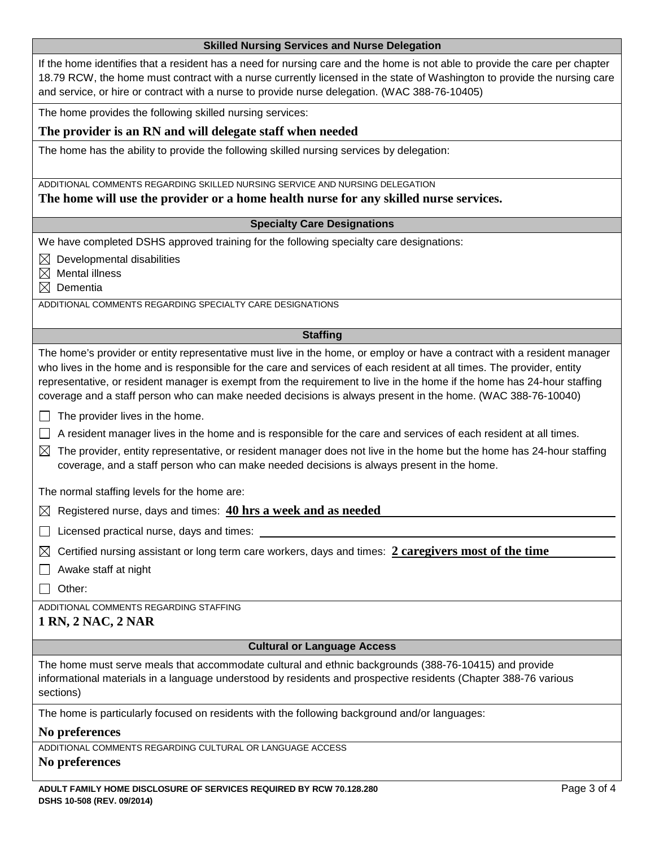<span id="page-2-0"></span>

| <b>Skilled Nursing Services and Nurse Delegation</b> |  |
|------------------------------------------------------|--|
|------------------------------------------------------|--|

If the home identifies that a resident has a need for nursing care and the home is not able to provide the care per chapter 18.79 RCW, the home must contract with a nurse currently licensed in the state of Washington to provide the nursing care and service, or hire or contract with a nurse to provide nurse delegation. (WAC 388-76-10405)

The home provides the following skilled nursing services:

# **The provider is an RN and will delegate staff when needed**

The home has the ability to provide the following skilled nursing services by delegation:

ADDITIONAL COMMENTS REGARDING SKILLED NURSING SERVICE AND NURSING DELEGATION

**The home will use the provider or a home health nurse for any skilled nurse services.**

# **Specialty Care Designations**

We have completed DSHS approved training for the following specialty care designations:

 $\boxtimes$  Developmental disabilities

 $\boxtimes$  Mental illness

 $\boxtimes$  Dementia

ADDITIONAL COMMENTS REGARDING SPECIALTY CARE DESIGNATIONS

### <span id="page-2-2"></span><span id="page-2-1"></span>**Staffing**

The home's provider or entity representative must live in the home, or employ or have a contract with a resident manager who lives in the home and is responsible for the care and services of each resident at all times. The provider, entity representative, or resident manager is exempt from the requirement to live in the home if the home has 24-hour staffing coverage and a staff person who can make needed decisions is always present in the home. (WAC 388-76-10040)

- $\Box$  The provider lives in the home.
- $\Box$  A resident manager lives in the home and is responsible for the care and services of each resident at all times.
- $\boxtimes$  The provider, entity representative, or resident manager does not live in the home but the home has 24-hour staffing coverage, and a staff person who can make needed decisions is always present in the home.

The normal staffing levels for the home are:

 $\boxtimes$  Registered nurse, days and times:  $40 \text{ hrs}$  a week and as needed

 $\Box$  Licensed practical nurse, days and times:

 $\boxtimes$  Certified nursing assistant or long term care workers, days and times: 2 caregivers most of the time

 $\Box$  Awake staff at night

 $\Box$  Other:

ADDITIONAL COMMENTS REGARDING STAFFING

## **1 RN, 2 NAC, 2 NAR**

### <span id="page-2-3"></span>**Cultural or Language Access**

The home must serve meals that accommodate cultural and ethnic backgrounds (388-76-10415) and provide informational materials in a language understood by residents and prospective residents (Chapter 388-76 various sections)

The home is particularly focused on residents with the following background and/or languages:

### **No preferences**

ADDITIONAL COMMENTS REGARDING CULTURAL OR LANGUAGE ACCESS

# **No preferences**